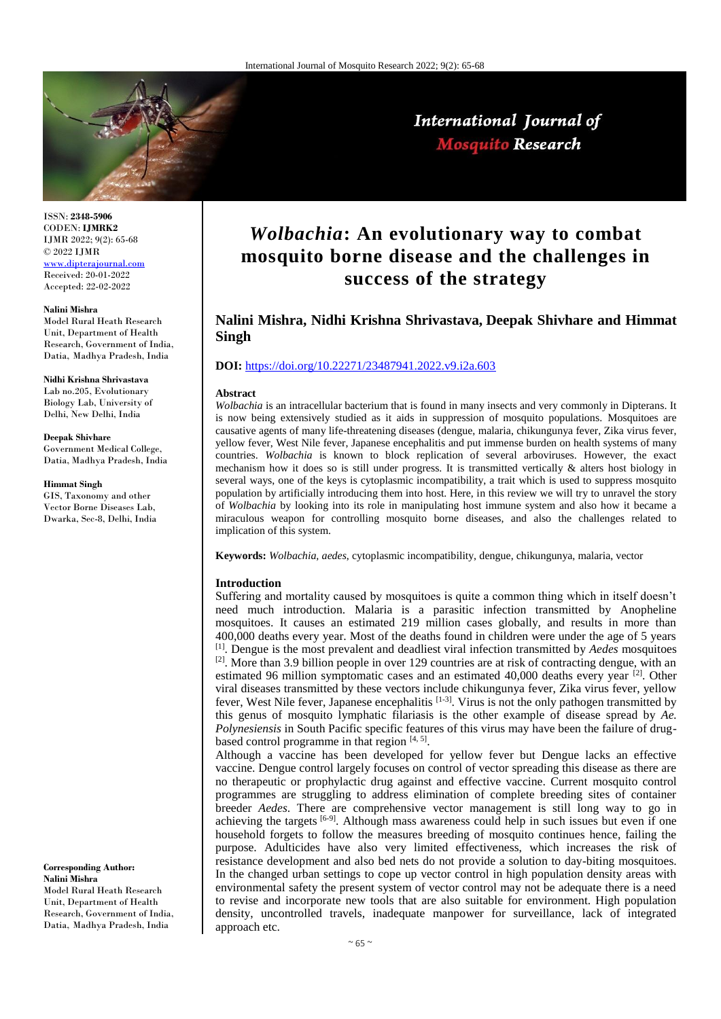

International Journal of **Mosquito Research** 

ISSN: **2348-5906** CODEN: **IJMRK2** IJMR 2022; 9(2): 65-68 © 2022 IJMR [www.dipterajournal.com](file://server/d/Mosquito/Issue/8%20Volume/www.dipterajournal.com)

Received: 20-01-2022 Accepted: 22-02-2022

#### **Nalini Mishra**

Model Rural Heath Research Unit, Department of Health Research, Government of India, Datia, Madhya Pradesh, India

#### **Nidhi Krishna Shrivastava** Lab no.205, Evolutionary Biology Lab, University of

Delhi, New Delhi, India

# **Deepak Shivhare**

Government Medical College, Datia, Madhya Pradesh, India

#### **Himmat Singh**

GIS, Taxonomy and other Vector Borne Diseases Lab, Dwarka, Sec-8, Delhi, India

**Corresponding Author: Nalini Mishra** Model Rural Heath Research Unit, Department of Health Research, Government of India, Datia, Madhya Pradesh, India

# *Wolbachia***: An evolutionary way to combat mosquito borne disease and the challenges in success of the strategy**

# **Nalini Mishra, Nidhi Krishna Shrivastava, Deepak Shivhare and Himmat Singh**

# **DOI:** <https://doi.org/10.22271/23487941.2022.v9.i2a.603>

#### **Abstract**

*Wolbachia* is an intracellular bacterium that is found in many insects and very commonly in Dipterans. It is now being extensively studied as it aids in suppression of mosquito populations. Mosquitoes are causative agents of many life-threatening diseases (dengue, malaria, chikungunya fever, Zika virus fever, yellow fever, West Nile fever, Japanese encephalitis and put immense burden on health systems of many countries. *Wolbachia* is known to block replication of several arboviruses. However, the exact mechanism how it does so is still under progress. It is transmitted vertically & alters host biology in several ways, one of the keys is cytoplasmic incompatibility, a trait which is used to suppress mosquito population by artificially introducing them into host. Here, in this review we will try to unravel the story of *Wolbachia* by looking into its role in manipulating host immune system and also how it became a miraculous weapon for controlling mosquito borne diseases, and also the challenges related to implication of this system.

**Keywords:** *Wolbachia, aedes*, cytoplasmic incompatibility, dengue, chikungunya, malaria, vector

#### **Introduction**

Suffering and mortality caused by mosquitoes is quite a common thing which in itself doesn't need much introduction. Malaria is a parasitic infection transmitted by Anopheline mosquitoes. It causes an estimated 219 million cases globally, and results in more than 400,000 deaths every year. Most of the deaths found in children were under the age of 5 years [1] . Dengue is the most prevalent and deadliest viral infection transmitted by *Aedes* mosquitoes <sup>[2]</sup>. More than 3.9 billion people in over 129 countries are at risk of contracting dengue, with an estimated 96 million symptomatic cases and an estimated 40,000 deaths every year <sup>[2]</sup>. Other viral diseases transmitted by these vectors include chikungunya fever, Zika virus fever, yellow fever, West Nile fever, Japanese encephalitis  $[1-3]$ . Virus is not the only pathogen transmitted by this genus of mosquito lymphatic filariasis is the other example of disease spread by *Ae. Polynesiensis* in South Pacific specific features of this virus may have been the failure of drugbased control programme in that region  $[4, 5]$ .

Although a vaccine has been developed for yellow fever but Dengue lacks an effective vaccine. Dengue control largely focuses on control of vector spreading this disease as there are no therapeutic or prophylactic drug against and effective vaccine. Current mosquito control programmes are struggling to address elimination of complete breeding sites of container breeder *Aedes*. There are comprehensive vector management is still long way to go in achieving the targets <sup>[6-9]</sup>. Although mass awareness could help in such issues but even if one household forgets to follow the measures breeding of mosquito continues hence, failing the purpose. Adulticides have also very limited effectiveness, which increases the risk of resistance development and also bed nets do not provide a solution to day-biting mosquitoes. In the changed urban settings to cope up vector control in high population density areas with environmental safety the present system of vector control may not be adequate there is a need to revise and incorporate new tools that are also suitable for environment. High population density, uncontrolled travels, inadequate manpower for surveillance, lack of integrated approach etc.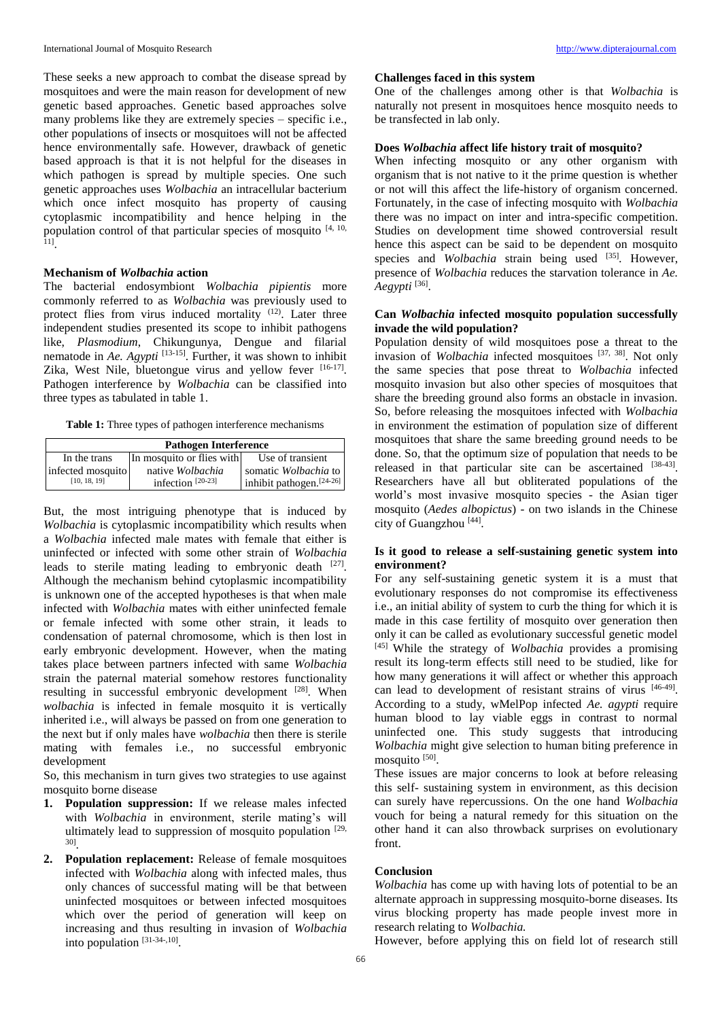These seeks a new approach to combat the disease spread by mosquitoes and were the main reason for development of new genetic based approaches. Genetic based approaches solve many problems like they are extremely species – specific i.e., other populations of insects or mosquitoes will not be affected hence environmentally safe. However, drawback of genetic based approach is that it is not helpful for the diseases in which pathogen is spread by multiple species. One such genetic approaches uses *Wolbachia* an intracellular bacterium which once infect mosquito has property of causing cytoplasmic incompatibility and hence helping in the population control of that particular species of mosquito  $[4, 10, 11]$ .

# **Mechanism of** *Wolbachia* **action**

The bacterial endosymbiont *Wolbachia pipientis* more commonly referred to as *Wolbachia* was previously used to protect flies from virus induced mortality <sup>(12)</sup>. Later three independent studies presented its scope to inhibit pathogens like, *Plasmodium*, Chikungunya, Dengue and filarial nematode in *Ae. Agypti* [13-15]. Further, it was shown to inhibit Zika, West Nile, bluetongue virus and yellow fever [16-17]. Pathogen interference by *Wolbachia* can be classified into three types as tabulated in table 1.

**Table 1:** Three types of pathogen interference mechanisms

| <b>Pathogen Interference</b> |                           |                             |
|------------------------------|---------------------------|-----------------------------|
| In the trans                 | In mosquito or flies with | Use of transient            |
| infected mosquito            | native Wolbachia          | somatic Wolbachia to        |
| [10, 18, 19]                 | infection $[20-23]$       | inhibit pathogen. $[24-26]$ |

But, the most intriguing phenotype that is induced by *Wolbachia* is cytoplasmic incompatibility which results when a *Wolbachia* infected male mates with female that either is uninfected or infected with some other strain of *Wolbachia* leads to sterile mating leading to embryonic death [27]. Although the mechanism behind cytoplasmic incompatibility is unknown one of the accepted hypotheses is that when male infected with *Wolbachia* mates with either uninfected female or female infected with some other strain, it leads to condensation of paternal chromosome, which is then lost in early embryonic development. However, when the mating takes place between partners infected with same *Wolbachia*  strain the paternal material somehow restores functionality resulting in successful embryonic development [28]. When *wolbachia* is infected in female mosquito it is vertically inherited i.e., will always be passed on from one generation to the next but if only males have *wolbachia* then there is sterile mating with females i.e., no successful embryonic development

So, this mechanism in turn gives two strategies to use against mosquito borne disease

- **1. Population suppression:** If we release males infected with *Wolbachia* in environment, sterile mating's will ultimately lead to suppression of mosquito population [29, 30] .
- **2. Population replacement:** Release of female mosquitoes infected with *Wolbachia* along with infected males, thus only chances of successful mating will be that between uninfected mosquitoes or between infected mosquitoes which over the period of generation will keep on increasing and thus resulting in invasion of *Wolbachia*  into population [31-34-,10] .

## **Challenges faced in this system**

One of the challenges among other is that *Wolbachia* is naturally not present in mosquitoes hence mosquito needs to be transfected in lab only.

# **Does** *Wolbachia* **affect life history trait of mosquito?**

When infecting mosquito or any other organism with organism that is not native to it the prime question is whether or not will this affect the life-history of organism concerned. Fortunately, in the case of infecting mosquito with *Wolbachia*  there was no impact on inter and intra-specific competition. Studies on development time showed controversial result hence this aspect can be said to be dependent on mosquito species and *Wolbachia* strain being used <sup>[35]</sup>. However, presence of *Wolbachia* reduces the starvation tolerance in *Ae. Aegypti* [36] .

# **Can** *Wolbachia* **infected mosquito population successfully invade the wild population?**

Population density of wild mosquitoes pose a threat to the invasion of *Wolbachia* infected mosquitoes [37, 38]. Not only the same species that pose threat to *Wolbachia* infected mosquito invasion but also other species of mosquitoes that share the breeding ground also forms an obstacle in invasion. So, before releasing the mosquitoes infected with *Wolbachia*  in environment the estimation of population size of different mosquitoes that share the same breeding ground needs to be done. So, that the optimum size of population that needs to be released in that particular site can be ascertained  $[38-43]$ . Researchers have all but obliterated populations of the world's most invasive mosquito species - the Asian tiger mosquito (*Aedes albopictus*) - on two islands in the Chinese city of Guangzhou<sup>[44]</sup>.

# **Is it good to release a self-sustaining genetic system into environment?**

For any self-sustaining genetic system it is a must that evolutionary responses do not compromise its effectiveness i.e., an initial ability of system to curb the thing for which it is made in this case fertility of mosquito over generation then only it can be called as evolutionary successful genetic model [45] While the strategy of *Wolbachia* provides a promising result its long-term effects still need to be studied, like for how many generations it will affect or whether this approach can lead to development of resistant strains of virus [46-49]. According to a study, wMelPop infected *Ae. agypti* require human blood to lay viable eggs in contrast to normal uninfected one. This study suggests that introducing *Wolbachia* might give selection to human biting preference in mosquito [50].

These issues are major concerns to look at before releasing this self- sustaining system in environment, as this decision can surely have repercussions. On the one hand *Wolbachia* vouch for being a natural remedy for this situation on the other hand it can also throwback surprises on evolutionary front.

### **Conclusion**

*Wolbachia* has come up with having lots of potential to be an alternate approach in suppressing mosquito-borne diseases. Its virus blocking property has made people invest more in research relating to *Wolbachia.*

However, before applying this on field lot of research still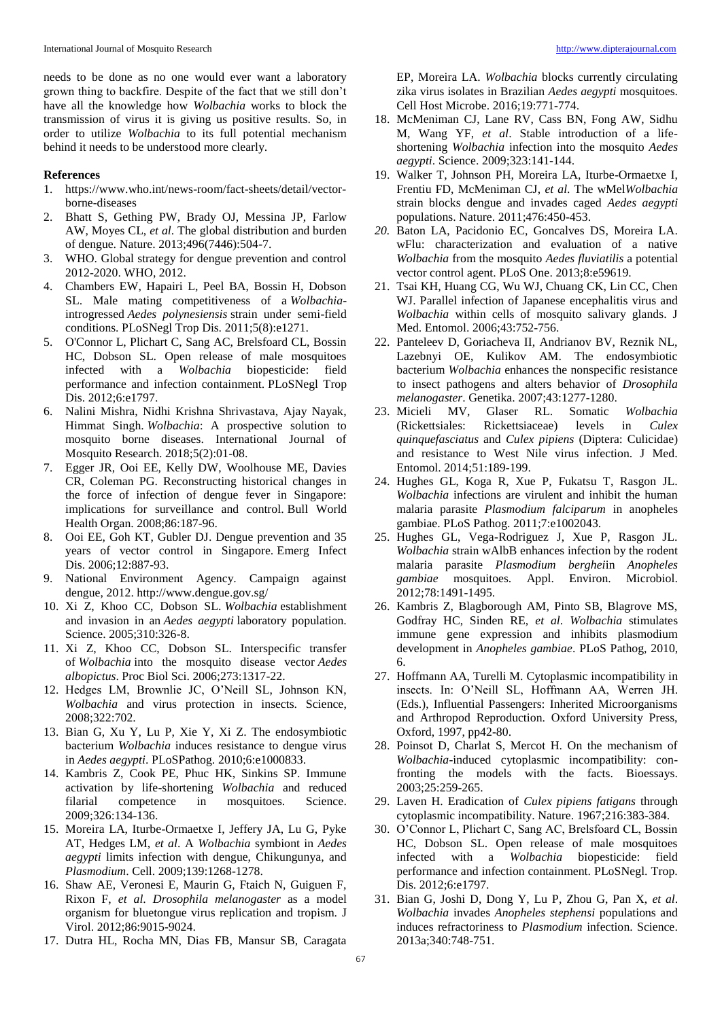needs to be done as no one would ever want a laboratory grown thing to backfire. Despite of the fact that we still don't have all the knowledge how *Wolbachia* works to block the transmission of virus it is giving us positive results. So, in order to utilize *Wolbachia* to its full potential mechanism behind it needs to be understood more clearly.

#### **References**

- 1. https://www.who.int/news-room/fact-sheets/detail/vectorborne-diseases
- 2. Bhatt S, Gething PW, Brady OJ, Messina JP, Farlow AW, Moyes CL, *et al*. The global distribution and burden of dengue. Nature. 2013;496(7446):504-7.
- 3. WHO. Global strategy for dengue prevention and control 2012-2020. WHO, 2012.
- 4. Chambers EW, Hapairi L, Peel BA, Bossin H, Dobson SL. Male mating competitiveness of a *Wolbachia*introgressed *Aedes polynesiensis* strain under semi-field conditions. PLoSNegl Trop Dis. 2011;5(8):e1271.
- 5. O'Connor L, Plichart C, Sang AC, Brelsfoard CL, Bossin HC, Dobson SL. Open release of male mosquitoes infected with a *Wolbachia* biopesticide: field performance and infection containment. PLoSNegl Trop Dis. 2012;6:e1797.
- 6. Nalini Mishra, Nidhi Krishna Shrivastava, Ajay Nayak, Himmat Singh. *Wolbachia*: A prospective solution to mosquito borne diseases. International Journal of Mosquito Research. 2018;5(2):01-08.
- 7. Egger JR, Ooi EE, Kelly DW, Woolhouse ME, Davies CR, Coleman PG. Reconstructing historical changes in the force of infection of dengue fever in Singapore: implications for surveillance and control. Bull World Health Organ. 2008;86:187-96.
- 8. Ooi EE, Goh KT, Gubler DJ. Dengue prevention and 35 years of vector control in Singapore. Emerg Infect Dis. 2006;12:887-93.
- 9. National Environment Agency. Campaign against dengue, 2012. http://www.dengue.gov.sg/
- 10. Xi Z, Khoo CC, Dobson SL. *Wolbachia* establishment and invasion in an *Aedes aegypti* laboratory population. Science. 2005;310:326-8.
- 11. Xi Z, Khoo CC, Dobson SL. Interspecific transfer of *Wolbachia* into the mosquito disease vector *Aedes albopictus*. Proc Biol Sci. 2006;273:1317-22.
- 12. Hedges LM, Brownlie JC, O'Neill SL, Johnson KN, *Wolbachia* and virus protection in insects. Science, 2008;322:702.
- 13. Bian G, Xu Y, Lu P, Xie Y, Xi Z. The endosymbiotic bacterium *Wolbachia* induces resistance to dengue virus in *Aedes aegypti*. PLoSPathog. 2010;6:e1000833.
- 14. Kambris Z, Cook PE, Phuc HK, Sinkins SP. Immune activation by life-shortening *Wolbachia* and reduced filarial competence in mosquitoes. Science. 2009;326:134-136.
- 15. Moreira LA, Iturbe-Ormaetxe I, Jeffery JA, Lu G, Pyke AT, Hedges LM, *et al*. A *Wolbachia* symbiont in *Aedes aegypti* limits infection with dengue, Chikungunya, and *Plasmodium*. Cell. 2009;139:1268-1278.
- 16. Shaw AE, Veronesi E, Maurin G, Ftaich N, Guiguen F, Rixon F, *et al*. *Drosophila melanogaster* as a model organism for bluetongue virus replication and tropism. J Virol. 2012;86:9015-9024.
- 17. Dutra HL, Rocha MN, Dias FB, Mansur SB, Caragata

EP, Moreira LA. *Wolbachia* blocks currently circulating zika virus isolates in Brazilian *Aedes aegypti* mosquitoes. Cell Host Microbe. 2016;19:771-774.

- 18. McMeniman CJ, Lane RV, Cass BN, Fong AW, Sidhu M, Wang YF, *et al*. Stable introduction of a lifeshortening *Wolbachia* infection into the mosquito *Aedes aegypti*. Science. 2009;323:141-144.
- 19. Walker T, Johnson PH, Moreira LA, Iturbe-Ormaetxe I, Frentiu FD, McMeniman CJ, *et al*. The wMel*Wolbachia*  strain blocks dengue and invades caged *Aedes aegypti*  populations. Nature. 2011;476:450-453.
- *20.* Baton LA, Pacidonio EC, Goncalves DS, Moreira LA. wFlu: characterization and evaluation of a native *Wolbachia* from the mosquito *Aedes fluviatilis* a potential vector control agent. PLoS One. 2013;8:e59619.
- 21. Tsai KH, Huang CG, Wu WJ, Chuang CK, Lin CC, Chen WJ. Parallel infection of Japanese encephalitis virus and *Wolbachia* within cells of mosquito salivary glands. J Med. Entomol. 2006;43:752-756.
- 22. Panteleev D, Goriacheva II, Andrianov BV, Reznik NL, Lazebnyi OE, Kulikov AM. The endosymbiotic bacterium *Wolbachia* enhances the nonspecific resistance to insect pathogens and alters behavior of *Drosophila melanogaster*. Genetika. 2007;43:1277-1280.
- 23. Micieli MV, Glaser RL. Somatic *Wolbachia*  (Rickettsiales: Rickettsiaceae) levels in *Culex quinquefasciatus* and *Culex pipiens* (Diptera: Culicidae) and resistance to West Nile virus infection. J Med. Entomol. 2014;51:189-199.
- 24. Hughes GL, Koga R, Xue P, Fukatsu T, Rasgon JL. *Wolbachia* infections are virulent and inhibit the human malaria parasite *Plasmodium falciparum* in anopheles gambiae. PLoS Pathog. 2011;7:e1002043.
- 25. Hughes GL, Vega-Rodriguez J, Xue P, Rasgon JL. *Wolbachia* strain wAlbB enhances infection by the rodent malaria parasite *Plasmodium berghei*in *Anopheles gambiae* mosquitoes. Appl. Environ. Microbiol. 2012;78:1491-1495.
- 26. Kambris Z, Blagborough AM, Pinto SB, Blagrove MS, Godfray HC, Sinden RE, *et al*. *Wolbachia* stimulates immune gene expression and inhibits plasmodium development in *Anopheles gambiae*. PLoS Pathog, 2010, 6.
- 27. Hoffmann AA, Turelli M. Cytoplasmic incompatibility in insects. In: O'Neill SL, Hoffmann AA, Werren JH. (Eds.), Influential Passengers: Inherited Microorganisms and Arthropod Reproduction. Oxford University Press, Oxford, 1997, pp42-80.
- 28. Poinsot D, Charlat S, Mercot H. On the mechanism of *Wolbachia*-induced cytoplasmic incompatibility: confronting the models with the facts. Bioessays. 2003;25:259-265.
- 29. Laven H. Eradication of *Culex pipiens fatigans* through cytoplasmic incompatibility. Nature. 1967;216:383-384.
- 30. O'Connor L, Plichart C, Sang AC, Brelsfoard CL, Bossin HC, Dobson SL. Open release of male mosquitoes infected with a *Wolbachia* biopesticide: field performance and infection containment. PLoSNegl. Trop. Dis. 2012;6:e1797.
- 31. Bian G, Joshi D, Dong Y, Lu P, Zhou G, Pan X, *et al*. *Wolbachia* invades *Anopheles stephensi* populations and induces refractoriness to *Plasmodium* infection. Science. 2013a;340:748-751.